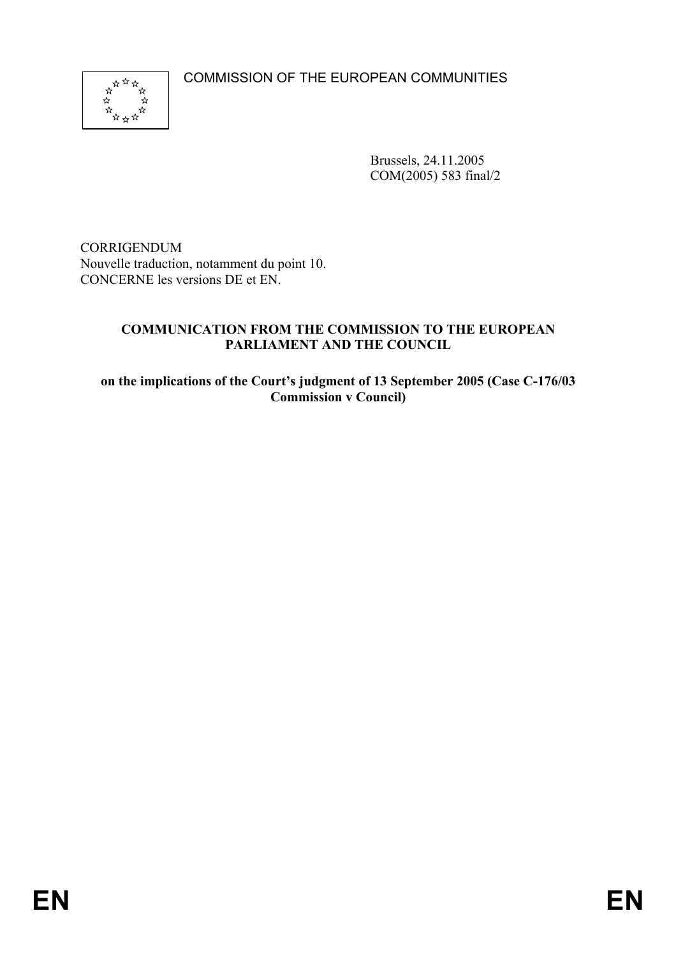COMMISSION OF THE EUROPEAN COMMUNITIES



Brussels, 24.11.2005 COM(2005) 583 final/2

CORRIGENDUM Nouvelle traduction, notamment du point 10. CONCERNE les versions DE et EN.

### **COMMUNICATION FROM THE COMMISSION TO THE EUROPEAN PARLIAMENT AND THE COUNCIL**

**on the implications of the Court's judgment of 13 September 2005 (Case C-176/03 Commission v Council)**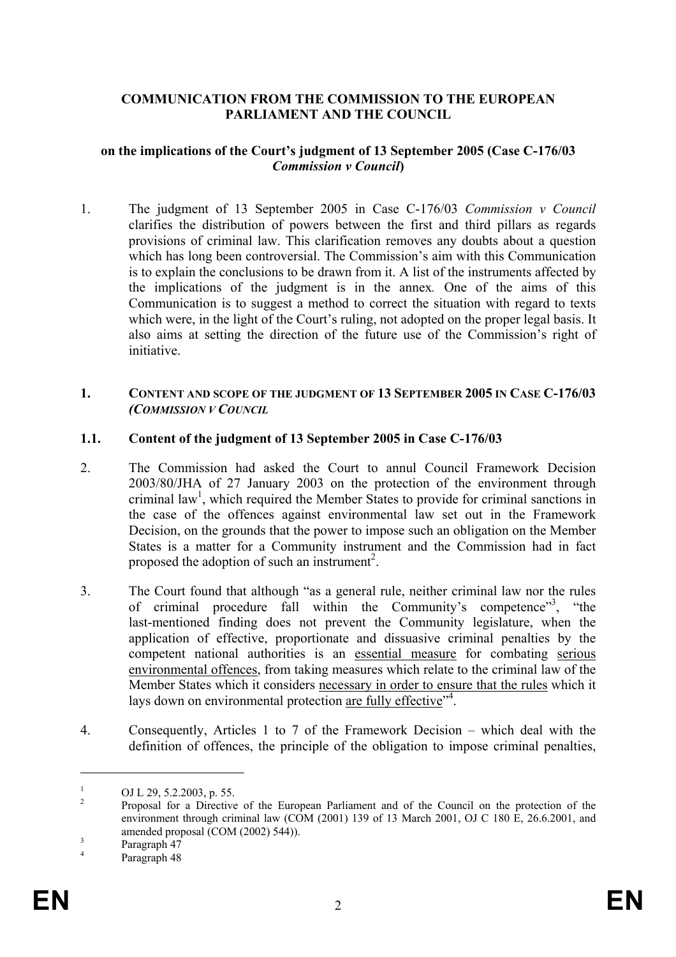### **COMMUNICATION FROM THE COMMISSION TO THE EUROPEAN PARLIAMENT AND THE COUNCIL**

#### **on the implications of the Court's judgment of 13 September 2005 (Case C-176/03**  *Commission v Council***)**

1. The judgment of 13 September 2005 in Case C-176/03 *Commission v Council*  clarifies the distribution of powers between the first and third pillars as regards provisions of criminal law. This clarification removes any doubts about a question which has long been controversial. The Commission's aim with this Communication is to explain the conclusions to be drawn from it. A list of the instruments affected by the implications of the judgment is in the annex*.* One of the aims of this Communication is to suggest a method to correct the situation with regard to texts which were, in the light of the Court's ruling, not adopted on the proper legal basis. It also aims at setting the direction of the future use of the Commission's right of initiative.

#### **1. CONTENT AND SCOPE OF THE JUDGMENT OF 13 SEPTEMBER 2005 IN CASE C-176/03** *(COMMISSION V COUNCIL*

#### **1.1. Content of the judgment of 13 September 2005 in Case C-176/03**

- 2. The Commission had asked the Court to annul Council Framework Decision 2003/80/JHA of 27 January 2003 on the protection of the environment through criminal law<sup>1</sup>, which required the Member States to provide for criminal sanctions in the case of the offences against environmental law set out in the Framework Decision, on the grounds that the power to impose such an obligation on the Member States is a matter for a Community instrument and the Commission had in fact proposed the adoption of such an instrument<sup>2</sup>.
- 3. The Court found that although "as a general rule, neither criminal law nor the rules of criminal procedure fall within the Community's competence"<sup>3</sup>, "the last-mentioned finding does not prevent the Community legislature, when the application of effective, proportionate and dissuasive criminal penalties by the competent national authorities is an essential measure for combating serious environmental offences, from taking measures which relate to the criminal law of the Member States which it considers necessary in order to ensure that the rules which it lays down on environmental protection are fully effective"<sup>4</sup>.
- 4. Consequently, Articles 1 to 7 of the Framework Decision which deal with the definition of offences, the principle of the obligation to impose criminal penalties,

 $\overline{a}$ 

<sup>1</sup> OJ L 29, 5.2.2003, p. 55.

<sup>2</sup> Proposal for a Directive of the European Parliament and of the Council on the protection of the environment through criminal law (COM (2001) 139 of 13 March 2001, OJ C 180 E, 26.6.2001, and amended proposal  $(COM (2002) 544)$ ).

Paragraph 47

<sup>4</sup> Paragraph 48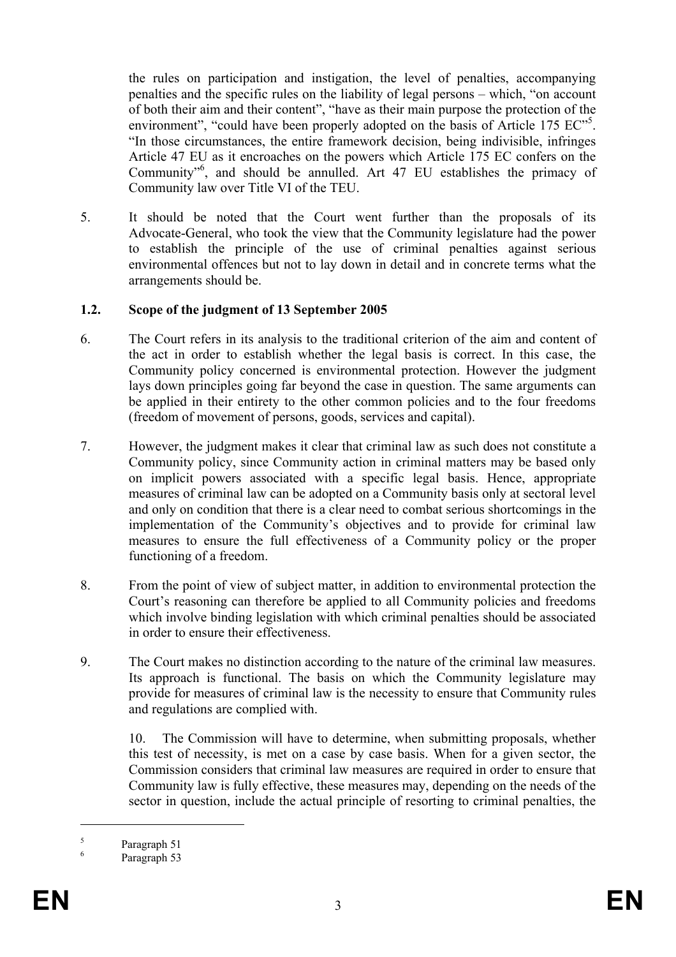the rules on participation and instigation, the level of penalties, accompanying penalties and the specific rules on the liability of legal persons – which, "on account of both their aim and their content", "have as their main purpose the protection of the environment", "could have been properly adopted on the basis of Article 175 EC"<sup>5</sup>. "In those circumstances, the entire framework decision, being indivisible, infringes Article 47 EU as it encroaches on the powers which Article 175 EC confers on the Community"<sup>6</sup>, and should be annulled. Art 47 EU establishes the primacy of Community law over Title VI of the TEU.

5. It should be noted that the Court went further than the proposals of its Advocate-General, who took the view that the Community legislature had the power to establish the principle of the use of criminal penalties against serious environmental offences but not to lay down in detail and in concrete terms what the arrangements should be.

### **1.2. Scope of the judgment of 13 September 2005**

- 6. The Court refers in its analysis to the traditional criterion of the aim and content of the act in order to establish whether the legal basis is correct. In this case, the Community policy concerned is environmental protection. However the judgment lays down principles going far beyond the case in question. The same arguments can be applied in their entirety to the other common policies and to the four freedoms (freedom of movement of persons, goods, services and capital).
- 7. However, the judgment makes it clear that criminal law as such does not constitute a Community policy, since Community action in criminal matters may be based only on implicit powers associated with a specific legal basis. Hence, appropriate measures of criminal law can be adopted on a Community basis only at sectoral level and only on condition that there is a clear need to combat serious shortcomings in the implementation of the Community's objectives and to provide for criminal law measures to ensure the full effectiveness of a Community policy or the proper functioning of a freedom.
- 8. From the point of view of subject matter, in addition to environmental protection the Court's reasoning can therefore be applied to all Community policies and freedoms which involve binding legislation with which criminal penalties should be associated in order to ensure their effectiveness.
- 9. The Court makes no distinction according to the nature of the criminal law measures. Its approach is functional. The basis on which the Community legislature may provide for measures of criminal law is the necessity to ensure that Community rules and regulations are complied with.

10. The Commission will have to determine, when submitting proposals, whether this test of necessity, is met on a case by case basis. When for a given sector, the Commission considers that criminal law measures are required in order to ensure that Community law is fully effective, these measures may, depending on the needs of the sector in question, include the actual principle of resorting to criminal penalties, the

5 Paragraph 51

1

<sup>6</sup> Paragraph 53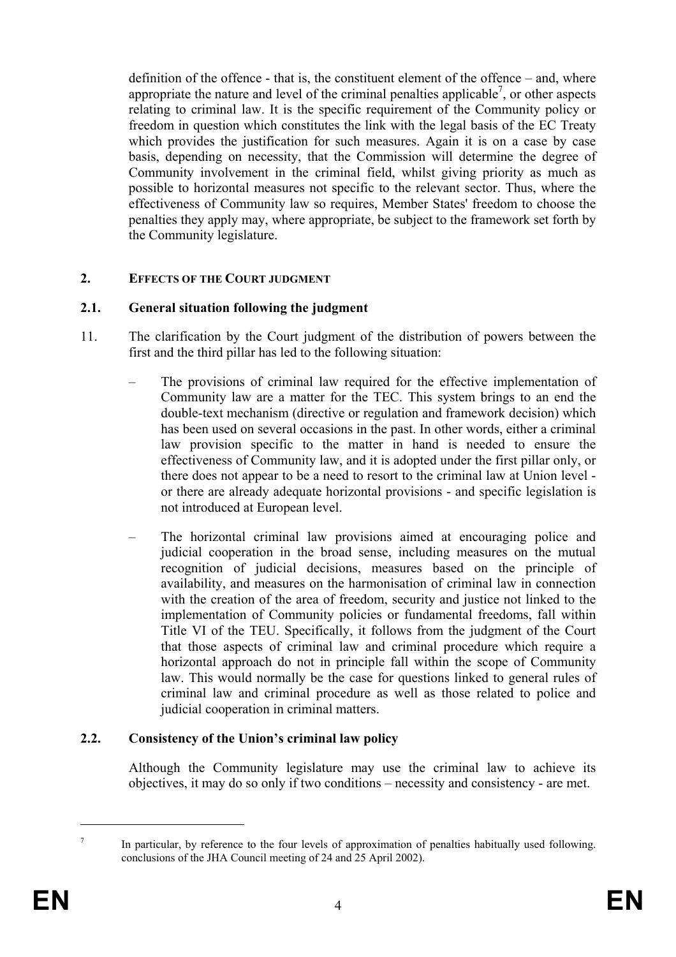definition of the offence - that is, the constituent element of the offence – and, where appropriate the nature and level of the criminal penalties applicable<sup>7</sup>, or other aspects relating to criminal law. It is the specific requirement of the Community policy or freedom in question which constitutes the link with the legal basis of the EC Treaty which provides the justification for such measures. Again it is on a case by case basis, depending on necessity, that the Commission will determine the degree of Community involvement in the criminal field, whilst giving priority as much as possible to horizontal measures not specific to the relevant sector. Thus, where the effectiveness of Community law so requires, Member States' freedom to choose the penalties they apply may, where appropriate, be subject to the framework set forth by the Community legislature.

### **2. EFFECTS OF THE COURT JUDGMENT**

### **2.1. General situation following the judgment**

- 11. The clarification by the Court judgment of the distribution of powers between the first and the third pillar has led to the following situation:
	- The provisions of criminal law required for the effective implementation of Community law are a matter for the TEC. This system brings to an end the double-text mechanism (directive or regulation and framework decision) which has been used on several occasions in the past. In other words, either a criminal law provision specific to the matter in hand is needed to ensure the effectiveness of Community law, and it is adopted under the first pillar only, or there does not appear to be a need to resort to the criminal law at Union level or there are already adequate horizontal provisions - and specific legislation is not introduced at European level.
	- The horizontal criminal law provisions aimed at encouraging police and judicial cooperation in the broad sense, including measures on the mutual recognition of judicial decisions, measures based on the principle of availability, and measures on the harmonisation of criminal law in connection with the creation of the area of freedom, security and justice not linked to the implementation of Community policies or fundamental freedoms, fall within Title VI of the TEU. Specifically, it follows from the judgment of the Court that those aspects of criminal law and criminal procedure which require a horizontal approach do not in principle fall within the scope of Community law. This would normally be the case for questions linked to general rules of criminal law and criminal procedure as well as those related to police and judicial cooperation in criminal matters.

#### **2.2. Consistency of the Union's criminal law policy**

Although the Community legislature may use the criminal law to achieve its objectives, it may do so only if two conditions – necessity and consistency - are met.

1

<sup>7</sup> In particular, by reference to the four levels of approximation of penalties habitually used following. conclusions of the JHA Council meeting of 24 and 25 April 2002).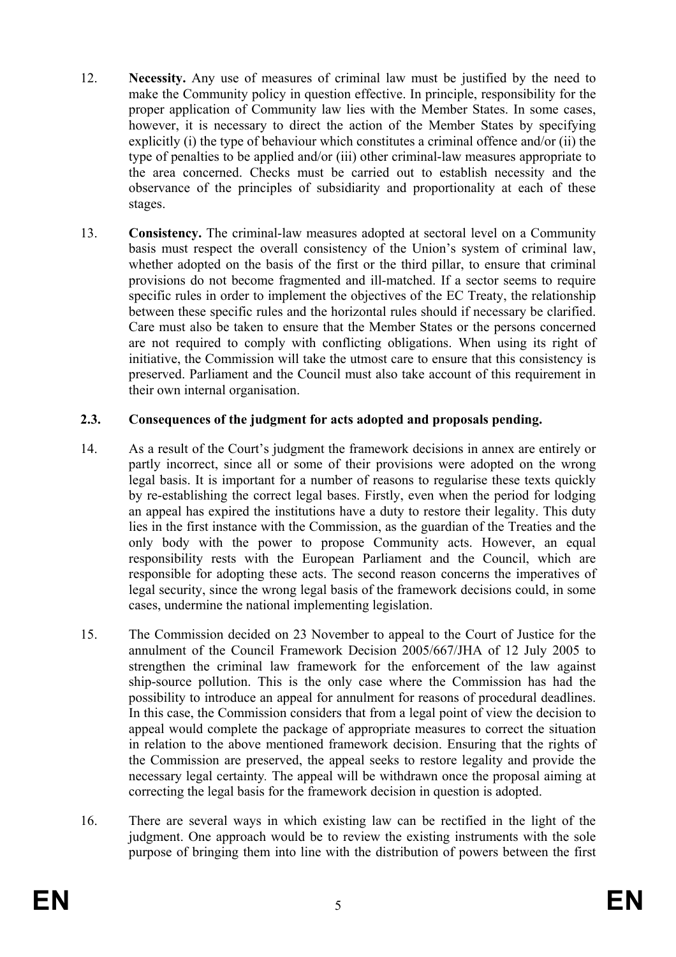- 12. **Necessity.** Any use of measures of criminal law must be justified by the need to make the Community policy in question effective. In principle, responsibility for the proper application of Community law lies with the Member States. In some cases, however, it is necessary to direct the action of the Member States by specifying explicitly (i) the type of behaviour which constitutes a criminal offence and/or (ii) the type of penalties to be applied and/or (iii) other criminal-law measures appropriate to the area concerned. Checks must be carried out to establish necessity and the observance of the principles of subsidiarity and proportionality at each of these stages.
- 13. **Consistency.** The criminal-law measures adopted at sectoral level on a Community basis must respect the overall consistency of the Union's system of criminal law, whether adopted on the basis of the first or the third pillar, to ensure that criminal provisions do not become fragmented and ill-matched. If a sector seems to require specific rules in order to implement the objectives of the EC Treaty, the relationship between these specific rules and the horizontal rules should if necessary be clarified. Care must also be taken to ensure that the Member States or the persons concerned are not required to comply with conflicting obligations. When using its right of initiative, the Commission will take the utmost care to ensure that this consistency is preserved. Parliament and the Council must also take account of this requirement in their own internal organisation.

## **2.3. Consequences of the judgment for acts adopted and proposals pending.**

- 14. As a result of the Court's judgment the framework decisions in annex are entirely or partly incorrect, since all or some of their provisions were adopted on the wrong legal basis. It is important for a number of reasons to regularise these texts quickly by re-establishing the correct legal bases. Firstly, even when the period for lodging an appeal has expired the institutions have a duty to restore their legality. This duty lies in the first instance with the Commission, as the guardian of the Treaties and the only body with the power to propose Community acts. However, an equal responsibility rests with the European Parliament and the Council, which are responsible for adopting these acts. The second reason concerns the imperatives of legal security, since the wrong legal basis of the framework decisions could, in some cases, undermine the national implementing legislation.
- 15. The Commission decided on 23 November to appeal to the Court of Justice for the annulment of the Council Framework Decision 2005/667/JHA of 12 July 2005 to strengthen the criminal law framework for the enforcement of the law against ship-source pollution. This is the only case where the Commission has had the possibility to introduce an appeal for annulment for reasons of procedural deadlines. In this case, the Commission considers that from a legal point of view the decision to appeal would complete the package of appropriate measures to correct the situation in relation to the above mentioned framework decision. Ensuring that the rights of the Commission are preserved, the appeal seeks to restore legality and provide the necessary legal certainty*.* The appeal will be withdrawn once the proposal aiming at correcting the legal basis for the framework decision in question is adopted.
- 16. There are several ways in which existing law can be rectified in the light of the judgment. One approach would be to review the existing instruments with the sole purpose of bringing them into line with the distribution of powers between the first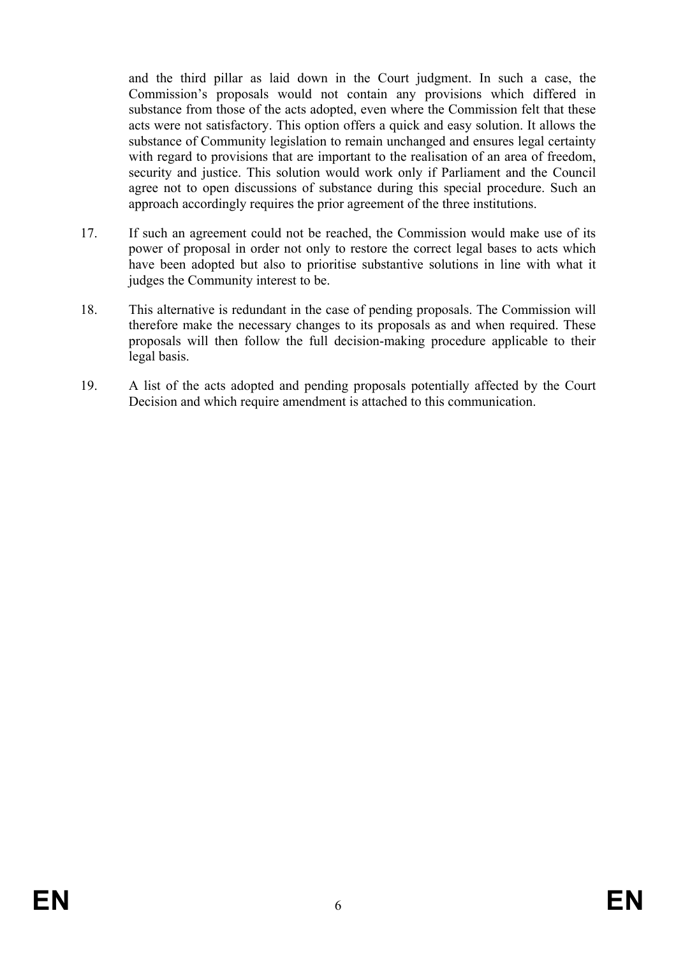and the third pillar as laid down in the Court judgment. In such a case, the Commission's proposals would not contain any provisions which differed in substance from those of the acts adopted, even where the Commission felt that these acts were not satisfactory. This option offers a quick and easy solution. It allows the substance of Community legislation to remain unchanged and ensures legal certainty with regard to provisions that are important to the realisation of an area of freedom, security and justice. This solution would work only if Parliament and the Council agree not to open discussions of substance during this special procedure. Such an approach accordingly requires the prior agreement of the three institutions.

- 17. If such an agreement could not be reached, the Commission would make use of its power of proposal in order not only to restore the correct legal bases to acts which have been adopted but also to prioritise substantive solutions in line with what it judges the Community interest to be.
- 18. This alternative is redundant in the case of pending proposals. The Commission will therefore make the necessary changes to its proposals as and when required. These proposals will then follow the full decision-making procedure applicable to their legal basis.
- 19. A list of the acts adopted and pending proposals potentially affected by the Court Decision and which require amendment is attached to this communication.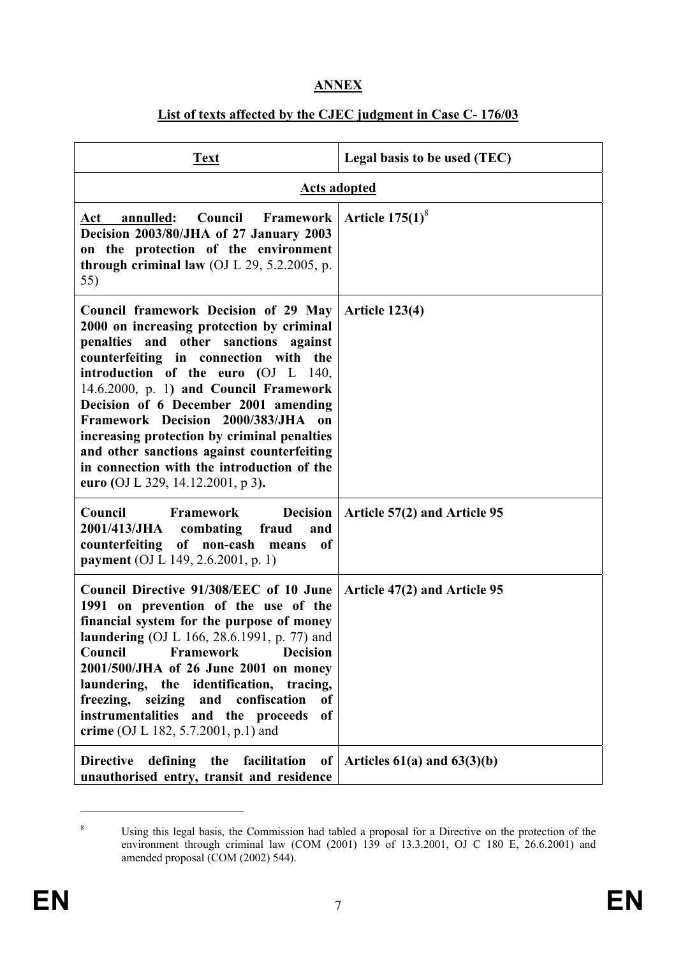# **ANNEX**

# **List of texts affected by the CJEC judgment in Case C- 176/03**

| <b>Text</b>                                                                                                                                                                                                                                                                                                                                                                                                                                                                                                           | Legal basis to be used (TEC)    |
|-----------------------------------------------------------------------------------------------------------------------------------------------------------------------------------------------------------------------------------------------------------------------------------------------------------------------------------------------------------------------------------------------------------------------------------------------------------------------------------------------------------------------|---------------------------------|
| <b>Acts adopted</b>                                                                                                                                                                                                                                                                                                                                                                                                                                                                                                   |                                 |
| <b>Council Framework</b><br>Act annulled:<br>Decision 2003/80/JHA of 27 January 2003<br>on the protection of the environment<br>through criminal law (OJ $L$ 29, 5.2.2005, p.<br>55)                                                                                                                                                                                                                                                                                                                                  | Article $175(1)^8$              |
| Council framework Decision of 29 May<br>2000 on increasing protection by criminal<br>penalties and other sanctions against<br>counterfeiting in connection with the<br>introduction of the euro (OJ L 140,<br>14.6.2000, p. 1) and Council Framework<br>Decision of 6 December 2001 amending<br>Framework Decision 2000/383/JHA<br>on<br>increasing protection by criminal penalties<br>and other sanctions against counterfeiting<br>in connection with the introduction of the<br>euro (OJ L 329, 14.12.2001, p 3). | <b>Article 123(4)</b>           |
| Council<br>Framework<br><b>Decision</b><br>2001/413/JHA combating<br>fraud<br>and<br>counterfeiting<br>of non-cash means<br>of<br>payment (OJ L 149, 2.6.2001, p. 1)                                                                                                                                                                                                                                                                                                                                                  | Article 57(2) and Article 95    |
| Council Directive 91/308/EEC of 10 June<br>1991 on prevention of the use of the<br>financial system for the purpose of money<br>laundering (OJ L 166, 28.6.1991, p. 77) and<br><b>Council Framework Decision</b><br>2001/500/JHA of 26 June 2001 on money<br>laundering, the identification, tracing,<br>freezing, seizing and confiscation<br><sub>of</sub><br>instrumentalities and the proceeds<br>of<br>crime (OJ L 182, 5.7.2001, p.1) and                                                                       | Article 47(2) and Article 95    |
| <b>Directive</b><br>defining the<br>facilitation<br>of<br>unauthorised entry, transit and residence                                                                                                                                                                                                                                                                                                                                                                                                                   | Articles $61(a)$ and $63(3)(b)$ |

<sup>8</sup> Using this legal basis, the Commission had tabled a proposal for a Directive on the protection of the environment through criminal law (COM (2001) 139 of 13.3.2001, OJ C 180 E, 26.6.2001) and amended proposal (COM (2002) 544).

 $\overline{a}$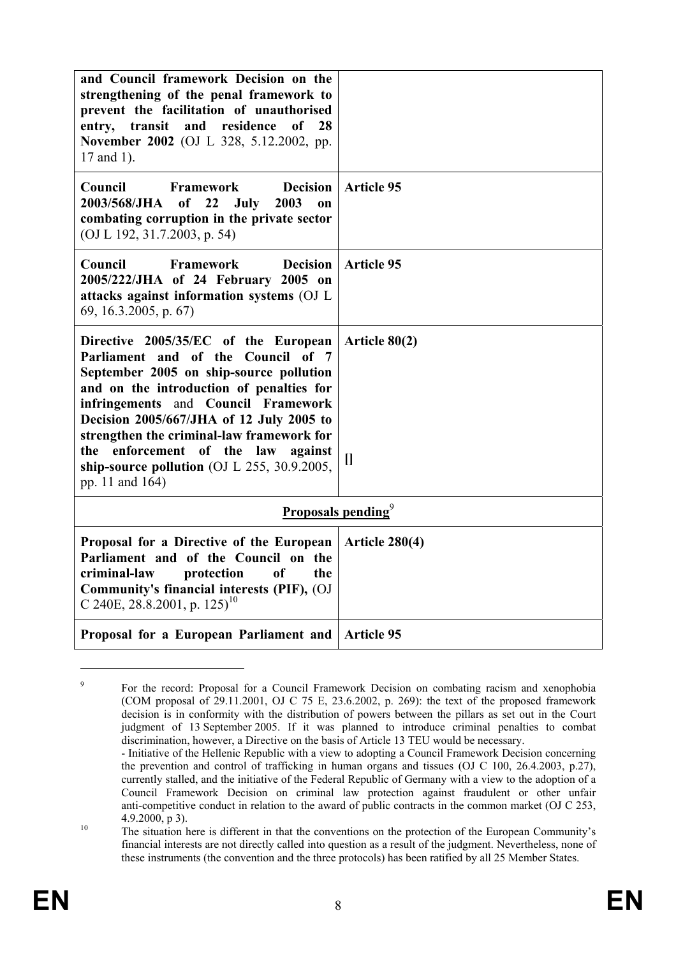| and Council framework Decision on the<br>strengthening of the penal framework to<br>prevent the facilitation of unauthorised<br>entry, transit and residence<br>0f<br>28<br>November 2002 (OJ L 328, 5.12.2002, pp.<br>17 and 1).                                                                                                                                                                               |                            |
|-----------------------------------------------------------------------------------------------------------------------------------------------------------------------------------------------------------------------------------------------------------------------------------------------------------------------------------------------------------------------------------------------------------------|----------------------------|
| <b>Framework</b><br><b>Decision</b><br>Council<br>22<br>2003/568/JHA<br>of<br>July<br>2003<br>on<br>combating corruption in the private sector<br>(OJ L 192, 31.7.2003, p. 54)                                                                                                                                                                                                                                  | <b>Article 95</b>          |
| Council<br><b>Framework</b><br><b>Decision</b><br>2005/222/JHA of 24 February 2005 on<br>attacks against information systems (OJ L<br>69, 16.3.2005, p. 67)                                                                                                                                                                                                                                                     | <b>Article 95</b>          |
| Directive 2005/35/EC of the European<br>Parliament and of the Council of 7<br>September 2005 on ship-source pollution<br>and on the introduction of penalties for<br>infringements and Council Framework<br>Decision 2005/667/JHA of 12 July 2005 to<br>strengthen the criminal-law framework for<br>enforcement of the law<br>the<br>against<br>ship-source pollution (OJ L 255, 30.9.2005,<br>pp. 11 and 164) | Article $80(2)$<br>$\prod$ |
| <b>Proposals pending</b> <sup>9</sup>                                                                                                                                                                                                                                                                                                                                                                           |                            |
| Proposal for a Directive of the European<br>Parliament and of the Council on the<br>criminal-law<br>protection<br><sub>of</sub><br>the<br>Community's financial interests (PIF), (OJ<br>C 240E, 28.8.2001, p. 125) <sup>10</sup>                                                                                                                                                                                | <b>Article 280(4)</b>      |
| Proposal for a European Parliament and                                                                                                                                                                                                                                                                                                                                                                          | <b>Article 95</b>          |

<sup>9</sup> For the record: Proposal for a Council Framework Decision on combating racism and xenophobia (COM proposal of 29.11.2001, OJ C 75 E, 23.6.2002, p. 269): the text of the proposed framework decision is in conformity with the distribution of powers between the pillars as set out in the Court judgment of 13 September 2005. If it was planned to introduce criminal penalties to combat discrimination, however, a Directive on the basis of Article 13 TEU would be necessary.

1

 <sup>-</sup> Initiative of the Hellenic Republic with a view to adopting a Council Framework Decision concerning the prevention and control of trafficking in human organs and tissues (OJ C 100, 26.4.2003, p.27), currently stalled, and the initiative of the Federal Republic of Germany with a view to the adoption of a Council Framework Decision on criminal law protection against fraudulent or other unfair anti-competitive conduct in relation to the award of public contracts in the common market (OJ C 253, 4.9.2000, p 3).<br>
The situation here is different in that the conventions on the protection of the European Community's

financial interests are not directly called into question as a result of the judgment. Nevertheless, none of these instruments (the convention and the three protocols) has been ratified by all 25 Member States.